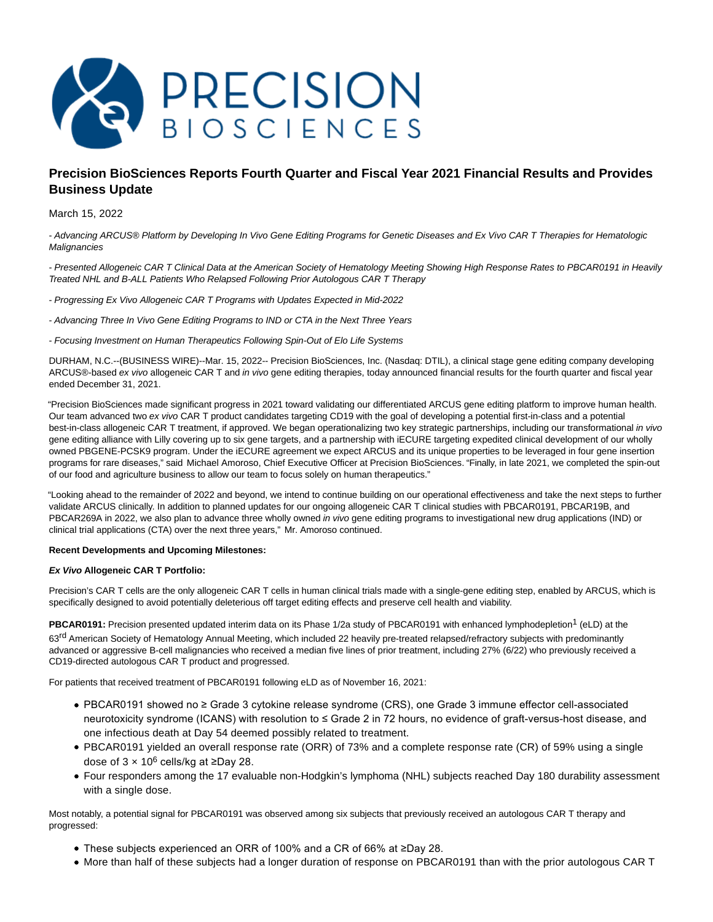

# **Precision BioSciences Reports Fourth Quarter and Fiscal Year 2021 Financial Results and Provides Business Update**

# March 15, 2022

- Advancing ARCUS® Platform by Developing In Vivo Gene Editing Programs for Genetic Diseases and Ex Vivo CAR T Therapies for Hematologic **Malignancies** 

- Presented Allogeneic CAR T Clinical Data at the American Society of Hematology Meeting Showing High Response Rates to PBCAR0191 in Heavily Treated NHL and B-ALL Patients Who Relapsed Following Prior Autologous CAR T Therapy

- Progressing Ex Vivo Allogeneic CAR T Programs with Updates Expected in Mid-2022
- Advancing Three In Vivo Gene Editing Programs to IND or CTA in the Next Three Years

- Focusing Investment on Human Therapeutics Following Spin-Out of Elo Life Systems

DURHAM, N.C.--(BUSINESS WIRE)--Mar. 15, 2022-- Precision BioSciences, Inc. (Nasdaq: DTIL), a clinical stage gene editing company developing ARCUS®-based ex vivo allogeneic CAR T and in vivo gene editing therapies, today announced financial results for the fourth quarter and fiscal year ended December 31, 2021.

"Precision BioSciences made significant progress in 2021 toward validating our differentiated ARCUS gene editing platform to improve human health. Our team advanced two ex vivo CAR T product candidates targeting CD19 with the goal of developing a potential first-in-class and a potential best-in-class allogeneic CAR T treatment, if approved. We began operationalizing two key strategic partnerships, including our transformational in vivo gene editing alliance with Lilly covering up to six gene targets, and a partnership with iECURE targeting expedited clinical development of our wholly owned PBGENE-PCSK9 program. Under the iECURE agreement we expect ARCUS and its unique properties to be leveraged in four gene insertion programs for rare diseases," said Michael Amoroso, Chief Executive Officer at Precision BioSciences. "Finally, in late 2021, we completed the spin-out of our food and agriculture business to allow our team to focus solely on human therapeutics."

"Looking ahead to the remainder of 2022 and beyond, we intend to continue building on our operational effectiveness and take the next steps to further validate ARCUS clinically. In addition to planned updates for our ongoing allogeneic CAR T clinical studies with PBCAR0191, PBCAR19B, and PBCAR269A in 2022, we also plan to advance three wholly owned in vivo gene editing programs to investigational new drug applications (IND) or clinical trial applications (CTA) over the next three years," Mr. Amoroso continued.

### **Recent Developments and Upcoming Milestones:**

#### **Ex Vivo Allogeneic CAR T Portfolio:**

Precision's CAR T cells are the only allogeneic CAR T cells in human clinical trials made with a single-gene editing step, enabled by ARCUS, which is specifically designed to avoid potentially deleterious off target editing effects and preserve cell health and viability.

**PBCAR0191:** Precision presented updated interim data on its Phase 1/2a study of PBCAR0191 with enhanced lymphodepletion<sup>1</sup> (eLD) at the 63<sup>rd</sup> American Society of Hematology Annual Meeting, which included 22 heavily pre-treated relapsed/refractory subjects with predominantly advanced or aggressive B-cell malignancies who received a median five lines of prior treatment, including 27% (6/22) who previously received a CD19-directed autologous CAR T product and progressed.

For patients that received treatment of PBCAR0191 following eLD as of November 16, 2021:

- PBCAR0191 showed no ≥ Grade 3 cytokine release syndrome (CRS), one Grade 3 immune effector cell-associated neurotoxicity syndrome (ICANS) with resolution to ≤ Grade 2 in 72 hours, no evidence of graft-versus-host disease, and one infectious death at Day 54 deemed possibly related to treatment.
- PBCAR0191 yielded an overall response rate (ORR) of 73% and a complete response rate (CR) of 59% using a single dose of  $3 \times 10^6$  cells/kg at ≥Day 28.
- Four responders among the 17 evaluable non-Hodgkin's lymphoma (NHL) subjects reached Day 180 durability assessment with a single dose.

Most notably, a potential signal for PBCAR0191 was observed among six subjects that previously received an autologous CAR T therapy and progressed:

- These subjects experienced an ORR of 100% and a CR of 66% at ≥Day 28.
- More than half of these subjects had a longer duration of response on PBCAR0191 than with the prior autologous CAR T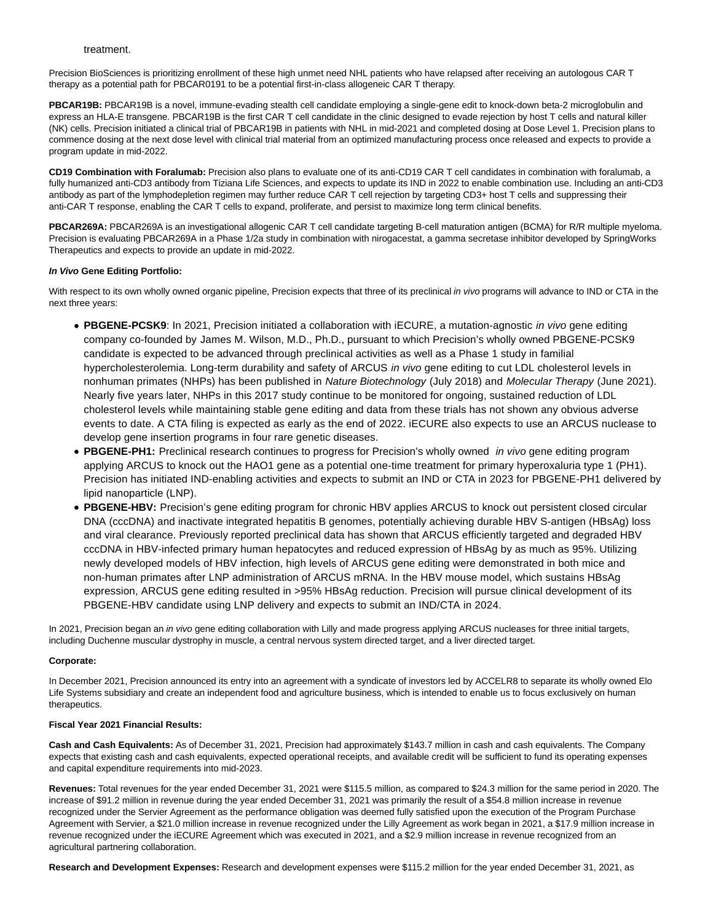#### treatment.

Precision BioSciences is prioritizing enrollment of these high unmet need NHL patients who have relapsed after receiving an autologous CAR T therapy as a potential path for PBCAR0191 to be a potential first-in-class allogeneic CAR T therapy.

**PBCAR19B:** PBCAR19B is a novel, immune-evading stealth cell candidate employing a single-gene edit to knock-down beta-2 microglobulin and express an HLA-E transgene. PBCAR19B is the first CAR T cell candidate in the clinic designed to evade rejection by host T cells and natural killer (NK) cells. Precision initiated a clinical trial of PBCAR19B in patients with NHL in mid-2021 and completed dosing at Dose Level 1. Precision plans to commence dosing at the next dose level with clinical trial material from an optimized manufacturing process once released and expects to provide a program update in mid-2022.

**CD19 Combination with Foralumab:** Precision also plans to evaluate one of its anti-CD19 CAR T cell candidates in combination with foralumab, a fully humanized anti-CD3 antibody from Tiziana Life Sciences, and expects to update its IND in 2022 to enable combination use. Including an anti-CD3 antibody as part of the lymphodepletion regimen may further reduce CAR T cell rejection by targeting CD3+ host T cells and suppressing their anti-CAR T response, enabling the CAR T cells to expand, proliferate, and persist to maximize long term clinical benefits.

**PBCAR269A:** PBCAR269A is an investigational allogenic CAR T cell candidate targeting B-cell maturation antigen (BCMA) for R/R multiple myeloma. Precision is evaluating PBCAR269A in a Phase 1/2a study in combination with nirogacestat, a gamma secretase inhibitor developed by SpringWorks Therapeutics and expects to provide an update in mid-2022.

#### **In Vivo Gene Editing Portfolio:**

With respect to its own wholly owned organic pipeline, Precision expects that three of its preclinical in vivo programs will advance to IND or CTA in the next three years:

- **PBGENE-PCSK9**: In 2021, Precision initiated a collaboration with iECURE, a mutation-agnostic in vivo gene editing company co-founded by James M. Wilson, M.D., Ph.D., pursuant to which Precision's wholly owned PBGENE-PCSK9 candidate is expected to be advanced through preclinical activities as well as a Phase 1 study in familial hypercholesterolemia. Long-term durability and safety of ARCUS in vivo gene editing to cut LDL cholesterol levels in nonhuman primates (NHPs) has been published in Nature Biotechnology (July 2018) and Molecular Therapy (June 2021). Nearly five years later, NHPs in this 2017 study continue to be monitored for ongoing, sustained reduction of LDL cholesterol levels while maintaining stable gene editing and data from these trials has not shown any obvious adverse events to date. A CTA filing is expected as early as the end of 2022. iECURE also expects to use an ARCUS nuclease to develop gene insertion programs in four rare genetic diseases.
- **PBGENE-PH1:** Preclinical research continues to progress for Precision's wholly owned in vivo gene editing program applying ARCUS to knock out the HAO1 gene as a potential one-time treatment for primary hyperoxaluria type 1 (PH1). Precision has initiated IND-enabling activities and expects to submit an IND or CTA in 2023 for PBGENE-PH1 delivered by lipid nanoparticle (LNP).
- **PBGENE-HBV:** Precision's gene editing program for chronic HBV applies ARCUS to knock out persistent closed circular DNA (cccDNA) and inactivate integrated hepatitis B genomes, potentially achieving durable HBV S-antigen (HBsAg) loss and viral clearance. Previously reported preclinical data has shown that ARCUS efficiently targeted and degraded HBV cccDNA in HBV-infected primary human hepatocytes and reduced expression of HBsAg by as much as 95%. Utilizing newly developed models of HBV infection, high levels of ARCUS gene editing were demonstrated in both mice and non-human primates after LNP administration of ARCUS mRNA. In the HBV mouse model, which sustains HBsAg expression, ARCUS gene editing resulted in >95% HBsAg reduction. Precision will pursue clinical development of its PBGENE-HBV candidate using LNP delivery and expects to submit an IND/CTA in 2024.

In 2021, Precision began an in vivo gene editing collaboration with Lilly and made progress applying ARCUS nucleases for three initial targets, including Duchenne muscular dystrophy in muscle, a central nervous system directed target, and a liver directed target.

#### **Corporate:**

In December 2021, Precision announced its entry into an agreement with a syndicate of investors led by ACCELR8 to separate its wholly owned Elo Life Systems subsidiary and create an independent food and agriculture business, which is intended to enable us to focus exclusively on human therapeutics.

#### **Fiscal Year 2021 Financial Results:**

**Cash and Cash Equivalents:** As of December 31, 2021, Precision had approximately \$143.7 million in cash and cash equivalents. The Company expects that existing cash and cash equivalents, expected operational receipts, and available credit will be sufficient to fund its operating expenses and capital expenditure requirements into mid-2023.

**Revenues:** Total revenues for the year ended December 31, 2021 were \$115.5 million, as compared to \$24.3 million for the same period in 2020. The increase of \$91.2 million in revenue during the year ended December 31, 2021 was primarily the result of a \$54.8 million increase in revenue recognized under the Servier Agreement as the performance obligation was deemed fully satisfied upon the execution of the Program Purchase Agreement with Servier, a \$21.0 million increase in revenue recognized under the Lilly Agreement as work began in 2021, a \$17.9 million increase in revenue recognized under the iECURE Agreement which was executed in 2021, and a \$2.9 million increase in revenue recognized from an agricultural partnering collaboration.

**Research and Development Expenses:** Research and development expenses were \$115.2 million for the year ended December 31, 2021, as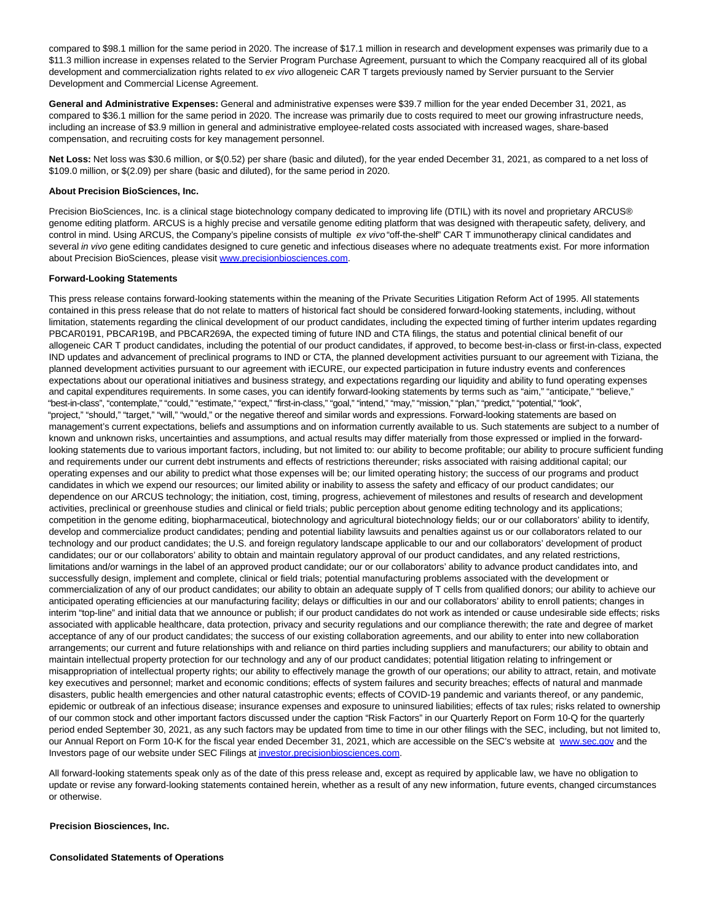compared to \$98.1 million for the same period in 2020. The increase of \$17.1 million in research and development expenses was primarily due to a \$11.3 million increase in expenses related to the Servier Program Purchase Agreement, pursuant to which the Company reacquired all of its global development and commercialization rights related to ex vivo allogeneic CAR T targets previously named by Servier pursuant to the Servier Development and Commercial License Agreement.

**General and Administrative Expenses:** General and administrative expenses were \$39.7 million for the year ended December 31, 2021, as compared to \$36.1 million for the same period in 2020. The increase was primarily due to costs required to meet our growing infrastructure needs, including an increase of \$3.9 million in general and administrative employee-related costs associated with increased wages, share-based compensation, and recruiting costs for key management personnel.

**Net Loss:** Net loss was \$30.6 million, or \$(0.52) per share (basic and diluted), for the year ended December 31, 2021, as compared to a net loss of \$109.0 million, or \$(2.09) per share (basic and diluted), for the same period in 2020.

#### **About Precision BioSciences, Inc.**

Precision BioSciences, Inc. is a clinical stage biotechnology company dedicated to improving life (DTIL) with its novel and proprietary ARCUS® genome editing platform. ARCUS is a highly precise and versatile genome editing platform that was designed with therapeutic safety, delivery, and control in mind. Using ARCUS, the Company's pipeline consists of multiple ex vivo "off-the-shelf" CAR T immunotherapy clinical candidates and several in vivo gene editing candidates designed to cure genetic and infectious diseases where no adequate treatments exist. For more information about Precision BioSciences, please visit [www.precisionbiosciences.com.](https://cts.businesswire.com/ct/CT?id=smartlink&url=http%3A%2F%2Fwww.precisionbiosciences.com&esheet=52596597&newsitemid=20220315005591&lan=en-US&anchor=www.precisionbiosciences.com&index=1&md5=220153e211500d13ef4930f4d0f12bbc)

#### **Forward-Looking Statements**

This press release contains forward-looking statements within the meaning of the Private Securities Litigation Reform Act of 1995. All statements contained in this press release that do not relate to matters of historical fact should be considered forward-looking statements, including, without limitation, statements regarding the clinical development of our product candidates, including the expected timing of further interim updates regarding PBCAR0191, PBCAR19B, and PBCAR269A, the expected timing of future IND and CTA filings, the status and potential clinical benefit of our allogeneic CAR T product candidates, including the potential of our product candidates, if approved, to become best-in-class or first-in-class, expected IND updates and advancement of preclinical programs to IND or CTA, the planned development activities pursuant to our agreement with Tiziana, the planned development activities pursuant to our agreement with iECURE, our expected participation in future industry events and conferences expectations about our operational initiatives and business strategy, and expectations regarding our liquidity and ability to fund operating expenses and capital expenditures requirements. In some cases, you can identify forward-looking statements by terms such as "aim," "anticipate," "believe," "best-in-class", "contemplate," "could," "estimate," "expect," "first-in-class," "goal," "intend," "may," "mission," "plan," "predict," "potential," "look", "project," "should," "target," "will," "would," or the negative thereof and similar words and expressions. Forward-looking statements are based on management's current expectations, beliefs and assumptions and on information currently available to us. Such statements are subject to a number of known and unknown risks, uncertainties and assumptions, and actual results may differ materially from those expressed or implied in the forwardlooking statements due to various important factors, including, but not limited to: our ability to become profitable; our ability to procure sufficient funding and requirements under our current debt instruments and effects of restrictions thereunder; risks associated with raising additional capital; our operating expenses and our ability to predict what those expenses will be; our limited operating history; the success of our programs and product candidates in which we expend our resources; our limited ability or inability to assess the safety and efficacy of our product candidates; our dependence on our ARCUS technology; the initiation, cost, timing, progress, achievement of milestones and results of research and development activities, preclinical or greenhouse studies and clinical or field trials; public perception about genome editing technology and its applications; competition in the genome editing, biopharmaceutical, biotechnology and agricultural biotechnology fields; our or our collaborators' ability to identify, develop and commercialize product candidates; pending and potential liability lawsuits and penalties against us or our collaborators related to our technology and our product candidates; the U.S. and foreign regulatory landscape applicable to our and our collaborators' development of product candidates; our or our collaborators' ability to obtain and maintain regulatory approval of our product candidates, and any related restrictions, limitations and/or warnings in the label of an approved product candidate; our or our collaborators' ability to advance product candidates into, and successfully design, implement and complete, clinical or field trials; potential manufacturing problems associated with the development or commercialization of any of our product candidates; our ability to obtain an adequate supply of T cells from qualified donors; our ability to achieve our anticipated operating efficiencies at our manufacturing facility; delays or difficulties in our and our collaborators' ability to enroll patients; changes in interim "top-line" and initial data that we announce or publish; if our product candidates do not work as intended or cause undesirable side effects; risks associated with applicable healthcare, data protection, privacy and security regulations and our compliance therewith; the rate and degree of market acceptance of any of our product candidates; the success of our existing collaboration agreements, and our ability to enter into new collaboration arrangements; our current and future relationships with and reliance on third parties including suppliers and manufacturers; our ability to obtain and maintain intellectual property protection for our technology and any of our product candidates; potential litigation relating to infringement or misappropriation of intellectual property rights; our ability to effectively manage the growth of our operations; our ability to attract, retain, and motivate key executives and personnel; market and economic conditions; effects of system failures and security breaches; effects of natural and manmade disasters, public health emergencies and other natural catastrophic events; effects of COVID-19 pandemic and variants thereof, or any pandemic, epidemic or outbreak of an infectious disease; insurance expenses and exposure to uninsured liabilities; effects of tax rules; risks related to ownership of our common stock and other important factors discussed under the caption "Risk Factors" in our Quarterly Report on Form 10-Q for the quarterly period ended September 30, 2021, as any such factors may be updated from time to time in our other filings with the SEC, including, but not limited to, our Annual Report on Form 10-K for the fiscal year ended December 31, 2021, which are accessible on the SEC's website at [www.sec.gov a](https://cts.businesswire.com/ct/CT?id=smartlink&url=http%3A%2F%2Fwww.sec.gov&esheet=52596597&newsitemid=20220315005591&lan=en-US&anchor=www.sec.gov&index=2&md5=67fa8f9ebd950bac15fd2567a0ed7e83)nd the Investors page of our website under SEC Filings a[t investor.precisionbiosciences.com.](http://investor.precisionbiosciences.com/)

All forward-looking statements speak only as of the date of this press release and, except as required by applicable law, we have no obligation to update or revise any forward-looking statements contained herein, whether as a result of any new information, future events, changed circumstances or otherwise.

#### **Precision Biosciences, Inc.**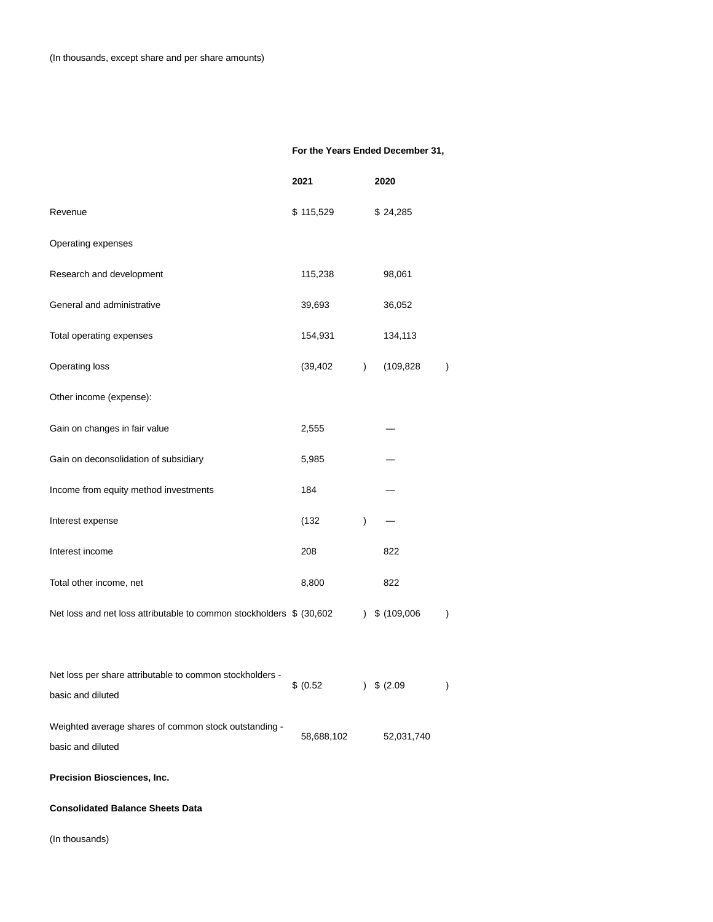# **For the Years Ended December 31,**

|                                                                               |  | 2021       |               |  | 2020            |                        |  |  |
|-------------------------------------------------------------------------------|--|------------|---------------|--|-----------------|------------------------|--|--|
| Revenue                                                                       |  | \$115,529  |               |  | \$24,285        |                        |  |  |
| Operating expenses                                                            |  |            |               |  |                 |                        |  |  |
| Research and development                                                      |  | 115,238    |               |  | 98,061          |                        |  |  |
| General and administrative                                                    |  | 39,693     |               |  | 36,052          |                        |  |  |
| Total operating expenses                                                      |  | 154,931    |               |  | 134,113         |                        |  |  |
| Operating loss                                                                |  | (39, 402)  | $\lambda$     |  | (109, 828)      | $\lambda$              |  |  |
| Other income (expense):                                                       |  |            |               |  |                 |                        |  |  |
| Gain on changes in fair value                                                 |  | 2,555      |               |  |                 |                        |  |  |
| Gain on deconsolidation of subsidiary                                         |  | 5,985      |               |  |                 |                        |  |  |
| Income from equity method investments                                         |  | 184        |               |  |                 |                        |  |  |
| Interest expense                                                              |  | (132)      | $\mathcal{E}$ |  |                 |                        |  |  |
| Interest income                                                               |  | 208        |               |  | 822             |                        |  |  |
| Total other income, net                                                       |  | 8,800      |               |  | 822             |                        |  |  |
| Net loss and net loss attributable to common stockholders \$ (30,602          |  |            |               |  | $)$ \$ (109,006 | $\lambda$              |  |  |
| Net loss per share attributable to common stockholders -<br>basic and diluted |  | \$ (0.52)  |               |  | $)$ \$ (2.09    | $\mathcal{C}^{\prime}$ |  |  |
| Weighted average shares of common stock outstanding -<br>basic and diluted    |  | 58,688,102 |               |  | 52,031,740      |                        |  |  |
| Precision Biosciences, Inc.                                                   |  |            |               |  |                 |                        |  |  |
| <b>Consolidated Balance Sheets Data</b>                                       |  |            |               |  |                 |                        |  |  |

(In thousands)